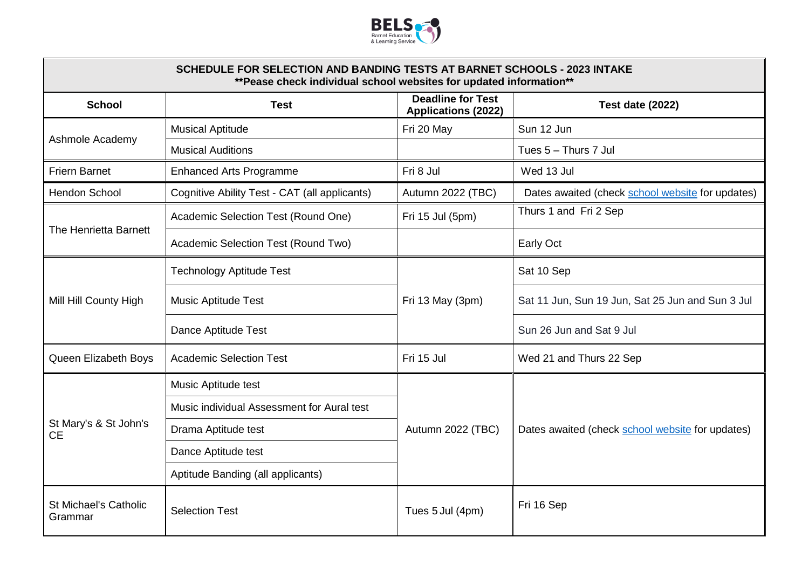

| SCHEDULE FOR SELECTION AND BANDING TESTS AT BARNET SCHOOLS - 2023 INTAKE<br>**Pease check individual school websites for updated information** |                                               |                                                        |                                                  |  |  |
|------------------------------------------------------------------------------------------------------------------------------------------------|-----------------------------------------------|--------------------------------------------------------|--------------------------------------------------|--|--|
| <b>School</b>                                                                                                                                  | <b>Test</b>                                   | <b>Deadline for Test</b><br><b>Applications (2022)</b> | <b>Test date (2022)</b>                          |  |  |
| Ashmole Academy                                                                                                                                | <b>Musical Aptitude</b>                       | Fri 20 May                                             | Sun 12 Jun                                       |  |  |
|                                                                                                                                                | <b>Musical Auditions</b>                      |                                                        | Tues 5 - Thurs 7 Jul                             |  |  |
| <b>Friern Barnet</b>                                                                                                                           | <b>Enhanced Arts Programme</b>                | Fri 8 Jul                                              | Wed 13 Jul                                       |  |  |
| Hendon School                                                                                                                                  | Cognitive Ability Test - CAT (all applicants) | Autumn 2022 (TBC)                                      | Dates awaited (check school website for updates) |  |  |
| The Henrietta Barnett                                                                                                                          | Academic Selection Test (Round One)           | Fri 15 Jul (5pm)                                       | Thurs 1 and Fri 2 Sep                            |  |  |
|                                                                                                                                                | Academic Selection Test (Round Two)           |                                                        | Early Oct                                        |  |  |
| Mill Hill County High                                                                                                                          | <b>Technology Aptitude Test</b>               | Fri 13 May (3pm)                                       | Sat 10 Sep                                       |  |  |
|                                                                                                                                                | <b>Music Aptitude Test</b>                    |                                                        | Sat 11 Jun, Sun 19 Jun, Sat 25 Jun and Sun 3 Jul |  |  |
|                                                                                                                                                | Dance Aptitude Test                           |                                                        | Sun 26 Jun and Sat 9 Jul                         |  |  |
| Queen Elizabeth Boys                                                                                                                           | <b>Academic Selection Test</b>                | Fri 15 Jul                                             | Wed 21 and Thurs 22 Sep                          |  |  |
| St Mary's & St John's<br><b>CE</b>                                                                                                             | Music Aptitude test                           | Autumn 2022 (TBC)                                      | Dates awaited (check school website for updates) |  |  |
|                                                                                                                                                | Music individual Assessment for Aural test    |                                                        |                                                  |  |  |
|                                                                                                                                                | Drama Aptitude test                           |                                                        |                                                  |  |  |
|                                                                                                                                                | Dance Aptitude test                           |                                                        |                                                  |  |  |
|                                                                                                                                                | Aptitude Banding (all applicants)             |                                                        |                                                  |  |  |
| <b>St Michael's Catholic</b><br>Grammar                                                                                                        | <b>Selection Test</b>                         | Tues 5 Jul (4pm)                                       | Fri 16 Sep                                       |  |  |